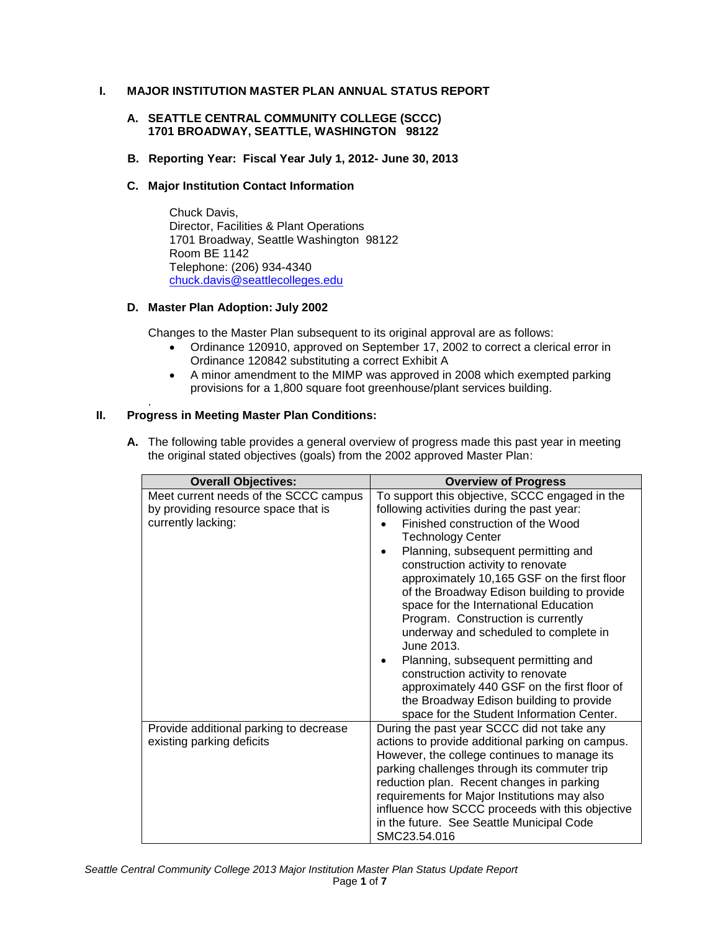# **I. MAJOR INSTITUTION MASTER PLAN ANNUAL STATUS REPORT**

## **A. SEATTLE CENTRAL COMMUNITY COLLEGE (SCCC) 1701 BROADWAY, SEATTLE, WASHINGTON 98122**

**B. Reporting Year: Fiscal Year July 1, 2012- June 30, 2013**

## **C. Major Institution Contact Information**

Chuck Davis, Director, Facilities & Plant Operations 1701 Broadway, Seattle Washington 98122 Room BE 1142 Telephone: (206) 934-4340 [chuck.davis@seattlecolleges.edu](mailto:chuck.davis@seattlecolleges.edu)

## **D. Master Plan Adoption: July 2002**

Changes to the Master Plan subsequent to its original approval are as follows:

- Ordinance 120910, approved on September 17, 2002 to correct a clerical error in Ordinance 120842 substituting a correct Exhibit A
- A minor amendment to the MIMP was approved in 2008 which exempted parking provisions for a 1,800 square foot greenhouse/plant services building.

#### . **II. Progress in Meeting Master Plan Conditions:**

**A.** The following table provides a general overview of progress made this past year in meeting the original stated objectives (goals) from the 2002 approved Master Plan:

| <b>Overall Objectives:</b>                                                                         | <b>Overview of Progress</b>                                                                                                                                                                                                                                                                                                                                                                                                                                                                                                                                                                                                                                                                     |
|----------------------------------------------------------------------------------------------------|-------------------------------------------------------------------------------------------------------------------------------------------------------------------------------------------------------------------------------------------------------------------------------------------------------------------------------------------------------------------------------------------------------------------------------------------------------------------------------------------------------------------------------------------------------------------------------------------------------------------------------------------------------------------------------------------------|
| Meet current needs of the SCCC campus<br>by providing resource space that is<br>currently lacking: | To support this objective, SCCC engaged in the<br>following activities during the past year:<br>Finished construction of the Wood<br><b>Technology Center</b><br>Planning, subsequent permitting and<br>construction activity to renovate<br>approximately 10,165 GSF on the first floor<br>of the Broadway Edison building to provide<br>space for the International Education<br>Program. Construction is currently<br>underway and scheduled to complete in<br>June 2013.<br>Planning, subsequent permitting and<br>construction activity to renovate<br>approximately 440 GSF on the first floor of<br>the Broadway Edison building to provide<br>space for the Student Information Center. |
| Provide additional parking to decrease<br>existing parking deficits                                | During the past year SCCC did not take any<br>actions to provide additional parking on campus.<br>However, the college continues to manage its<br>parking challenges through its commuter trip<br>reduction plan. Recent changes in parking<br>requirements for Major Institutions may also<br>influence how SCCC proceeds with this objective<br>in the future. See Seattle Municipal Code<br>SMC23.54.016                                                                                                                                                                                                                                                                                     |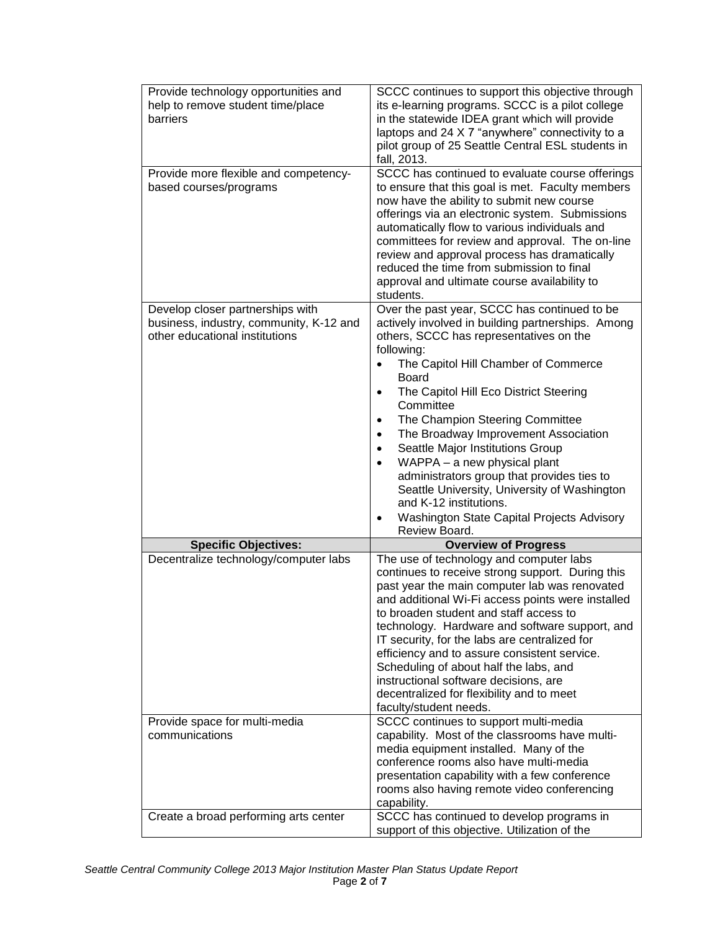| Provide technology opportunities and    | SCCC continues to support this objective through                                                |
|-----------------------------------------|-------------------------------------------------------------------------------------------------|
| help to remove student time/place       | its e-learning programs. SCCC is a pilot college                                                |
| barriers                                | in the statewide IDEA grant which will provide                                                  |
|                                         | laptops and 24 X 7 "anywhere" connectivity to a                                                 |
|                                         | pilot group of 25 Seattle Central ESL students in                                               |
|                                         | fall, 2013.                                                                                     |
| Provide more flexible and competency-   | SCCC has continued to evaluate course offerings                                                 |
| based courses/programs                  | to ensure that this goal is met. Faculty members                                                |
|                                         | now have the ability to submit new course                                                       |
|                                         | offerings via an electronic system. Submissions                                                 |
|                                         | automatically flow to various individuals and                                                   |
|                                         | committees for review and approval. The on-line                                                 |
|                                         | review and approval process has dramatically                                                    |
|                                         | reduced the time from submission to final                                                       |
|                                         | approval and ultimate course availability to                                                    |
|                                         | students.                                                                                       |
| Develop closer partnerships with        | Over the past year, SCCC has continued to be                                                    |
| business, industry, community, K-12 and | actively involved in building partnerships. Among                                               |
| other educational institutions          | others, SCCC has representatives on the                                                         |
|                                         | following:                                                                                      |
|                                         | The Capitol Hill Chamber of Commerce<br>$\bullet$                                               |
|                                         | <b>Board</b>                                                                                    |
|                                         | The Capitol Hill Eco District Steering<br>$\bullet$                                             |
|                                         | Committee                                                                                       |
|                                         | The Champion Steering Committee<br>$\bullet$                                                    |
|                                         | The Broadway Improvement Association<br>$\bullet$                                               |
|                                         | Seattle Major Institutions Group<br>$\bullet$                                                   |
|                                         | WAPPA - a new physical plant<br>$\bullet$                                                       |
|                                         | administrators group that provides ties to                                                      |
|                                         | Seattle University, University of Washington                                                    |
|                                         | and K-12 institutions.                                                                          |
|                                         | Washington State Capital Projects Advisory                                                      |
|                                         | Review Board.                                                                                   |
| <b>Specific Objectives:</b>             | <b>Overview of Progress</b>                                                                     |
| Decentralize technology/computer labs   | The use of technology and computer labs                                                         |
|                                         | continues to receive strong support. During this                                                |
|                                         | past year the main computer lab was renovated                                                   |
|                                         | and additional Wi-Fi access points were installed                                               |
|                                         | to broaden student and staff access to                                                          |
|                                         | technology. Hardware and software support, and<br>IT security, for the labs are centralized for |
|                                         | efficiency and to assure consistent service.                                                    |
|                                         |                                                                                                 |
|                                         |                                                                                                 |
|                                         | Scheduling of about half the labs, and                                                          |
|                                         | instructional software decisions, are                                                           |
|                                         | decentralized for flexibility and to meet                                                       |
|                                         | faculty/student needs.                                                                          |
| Provide space for multi-media           | SCCC continues to support multi-media                                                           |
| communications                          | capability. Most of the classrooms have multi-                                                  |
|                                         | media equipment installed. Many of the<br>conference rooms also have multi-media                |
|                                         |                                                                                                 |
|                                         | presentation capability with a few conference                                                   |
|                                         | rooms also having remote video conferencing                                                     |
| Create a broad performing arts center   | capability.<br>SCCC has continued to develop programs in                                        |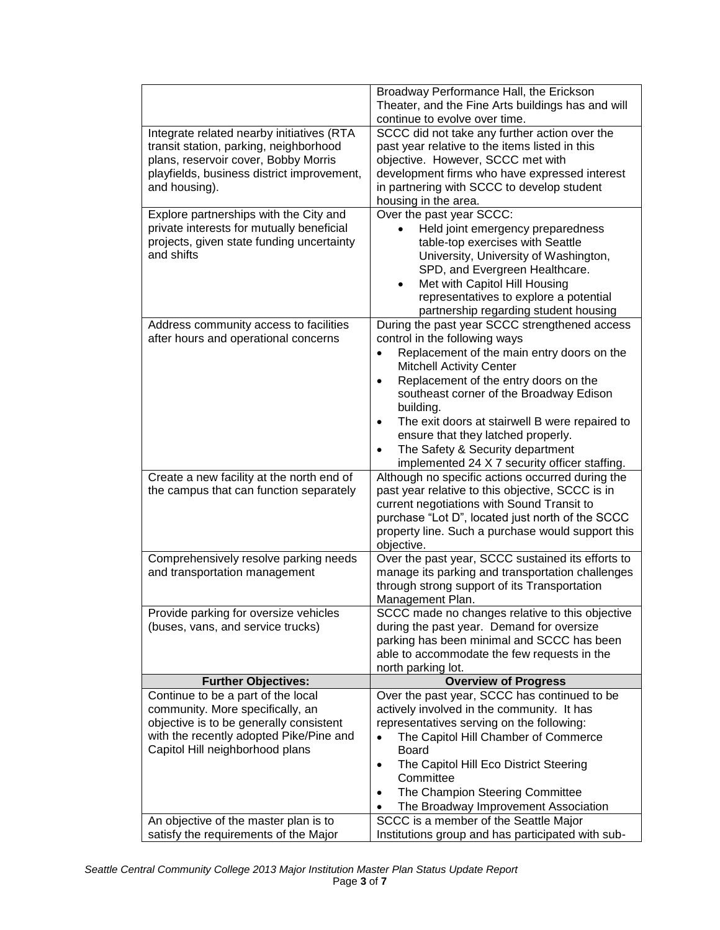|                                                                                                                                                                                                                                          | Broadway Performance Hall, the Erickson                                                                                                                                                                                                                                                                                                                                                                                                                                              |
|------------------------------------------------------------------------------------------------------------------------------------------------------------------------------------------------------------------------------------------|--------------------------------------------------------------------------------------------------------------------------------------------------------------------------------------------------------------------------------------------------------------------------------------------------------------------------------------------------------------------------------------------------------------------------------------------------------------------------------------|
|                                                                                                                                                                                                                                          | Theater, and the Fine Arts buildings has and will<br>continue to evolve over time.                                                                                                                                                                                                                                                                                                                                                                                                   |
| Integrate related nearby initiatives (RTA<br>transit station, parking, neighborhood<br>plans, reservoir cover, Bobby Morris<br>playfields, business district improvement,<br>and housing).                                               | SCCC did not take any further action over the<br>past year relative to the items listed in this<br>objective. However, SCCC met with<br>development firms who have expressed interest<br>in partnering with SCCC to develop student<br>housing in the area.                                                                                                                                                                                                                          |
| Explore partnerships with the City and<br>private interests for mutually beneficial<br>projects, given state funding uncertainty<br>and shifts                                                                                           | Over the past year SCCC:<br>Held joint emergency preparedness<br>table-top exercises with Seattle<br>University, University of Washington,<br>SPD, and Evergreen Healthcare.<br>Met with Capitol Hill Housing<br>$\bullet$<br>representatives to explore a potential<br>partnership regarding student housing                                                                                                                                                                        |
| Address community access to facilities<br>after hours and operational concerns                                                                                                                                                           | During the past year SCCC strengthened access<br>control in the following ways<br>Replacement of the main entry doors on the<br>$\bullet$<br><b>Mitchell Activity Center</b><br>Replacement of the entry doors on the<br>$\bullet$<br>southeast corner of the Broadway Edison<br>building.<br>The exit doors at stairwell B were repaired to<br>$\bullet$<br>ensure that they latched properly.<br>The Safety & Security department<br>implemented 24 X 7 security officer staffing. |
| Create a new facility at the north end of<br>the campus that can function separately                                                                                                                                                     | Although no specific actions occurred during the<br>past year relative to this objective, SCCC is in<br>current negotiations with Sound Transit to<br>purchase "Lot D", located just north of the SCCC<br>property line. Such a purchase would support this<br>objective.                                                                                                                                                                                                            |
| Comprehensively resolve parking needs<br>and transportation management                                                                                                                                                                   | Over the past year, SCCC sustained its efforts to<br>manage its parking and transportation challenges<br>through strong support of its Transportation<br>Management Plan.                                                                                                                                                                                                                                                                                                            |
| Provide parking for oversize vehicles<br>(buses, vans, and service trucks)                                                                                                                                                               | SCCC made no changes relative to this objective<br>during the past year. Demand for oversize<br>parking has been minimal and SCCC has been<br>able to accommodate the few requests in the<br>north parking lot.                                                                                                                                                                                                                                                                      |
| <b>Further Objectives:</b>                                                                                                                                                                                                               | <b>Overview of Progress</b>                                                                                                                                                                                                                                                                                                                                                                                                                                                          |
| Continue to be a part of the local<br>community. More specifically, an<br>objective is to be generally consistent<br>with the recently adopted Pike/Pine and<br>Capitol Hill neighborhood plans<br>An objective of the master plan is to | Over the past year, SCCC has continued to be<br>actively involved in the community. It has<br>representatives serving on the following:<br>The Capitol Hill Chamber of Commerce<br>$\bullet$<br><b>Board</b><br>The Capitol Hill Eco District Steering<br>$\bullet$<br>Committee<br>The Champion Steering Committee<br>$\bullet$<br>The Broadway Improvement Association<br>SCCC is a member of the Seattle Major                                                                    |
| satisfy the requirements of the Major                                                                                                                                                                                                    | Institutions group and has participated with sub-                                                                                                                                                                                                                                                                                                                                                                                                                                    |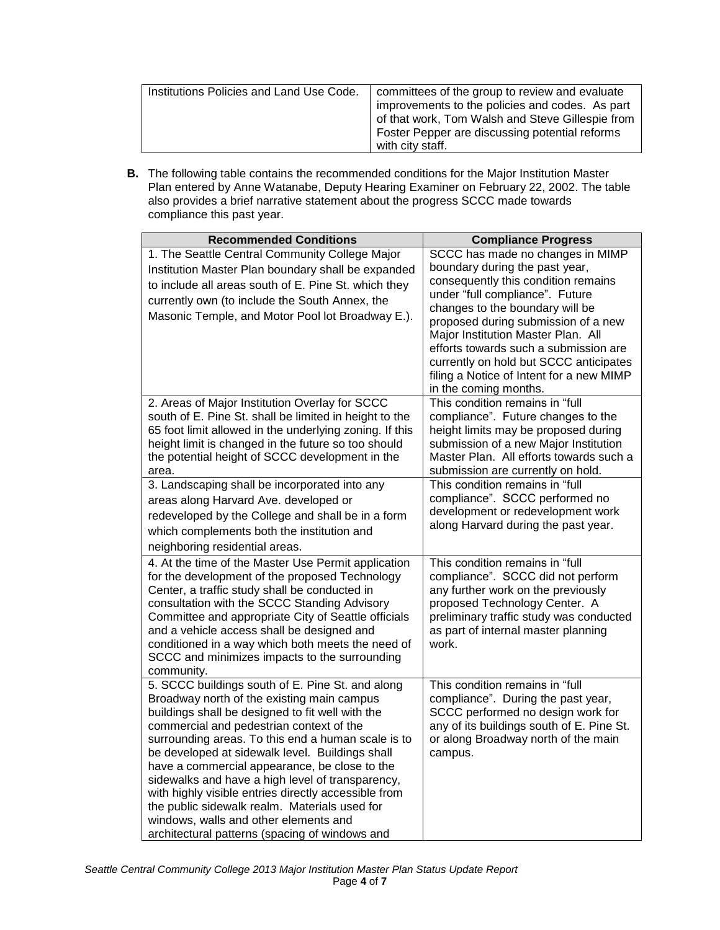| Institutions Policies and Land Use Code. | committees of the group to review and evaluate<br>improvements to the policies and codes. As part<br>of that work, Tom Walsh and Steve Gillespie from<br>Foster Pepper are discussing potential reforms |
|------------------------------------------|---------------------------------------------------------------------------------------------------------------------------------------------------------------------------------------------------------|
|                                          |                                                                                                                                                                                                         |
|                                          | with city staff.                                                                                                                                                                                        |

**B.** The following table contains the recommended conditions for the Major Institution Master Plan entered by Anne Watanabe, Deputy Hearing Examiner on February 22, 2002. The table also provides a brief narrative statement about the progress SCCC made towards compliance this past year.

| <b>Recommended Conditions</b>                                                                                                                                                                                                                                                                                                                                                                                                                                                                                                                                                                                    | <b>Compliance Progress</b>                                                                                                                                                                                                                                                                                                                                                                                           |  |
|------------------------------------------------------------------------------------------------------------------------------------------------------------------------------------------------------------------------------------------------------------------------------------------------------------------------------------------------------------------------------------------------------------------------------------------------------------------------------------------------------------------------------------------------------------------------------------------------------------------|----------------------------------------------------------------------------------------------------------------------------------------------------------------------------------------------------------------------------------------------------------------------------------------------------------------------------------------------------------------------------------------------------------------------|--|
| 1. The Seattle Central Community College Major<br>Institution Master Plan boundary shall be expanded<br>to include all areas south of E. Pine St. which they<br>currently own (to include the South Annex, the<br>Masonic Temple, and Motor Pool lot Broadway E.).                                                                                                                                                                                                                                                                                                                                               | SCCC has made no changes in MIMP<br>boundary during the past year,<br>consequently this condition remains<br>under "full compliance". Future<br>changes to the boundary will be<br>proposed during submission of a new<br>Major Institution Master Plan. All<br>efforts towards such a submission are<br>currently on hold but SCCC anticipates<br>filing a Notice of Intent for a new MIMP<br>in the coming months. |  |
| 2. Areas of Major Institution Overlay for SCCC<br>south of E. Pine St. shall be limited in height to the<br>65 foot limit allowed in the underlying zoning. If this<br>height limit is changed in the future so too should<br>the potential height of SCCC development in the<br>area.                                                                                                                                                                                                                                                                                                                           | This condition remains in "full<br>compliance". Future changes to the<br>height limits may be proposed during<br>submission of a new Major Institution<br>Master Plan. All efforts towards such a<br>submission are currently on hold.                                                                                                                                                                               |  |
| 3. Landscaping shall be incorporated into any<br>areas along Harvard Ave. developed or<br>redeveloped by the College and shall be in a form<br>which complements both the institution and<br>neighboring residential areas.                                                                                                                                                                                                                                                                                                                                                                                      | This condition remains in "full<br>compliance". SCCC performed no<br>development or redevelopment work<br>along Harvard during the past year.                                                                                                                                                                                                                                                                        |  |
| 4. At the time of the Master Use Permit application<br>for the development of the proposed Technology<br>Center, a traffic study shall be conducted in<br>consultation with the SCCC Standing Advisory<br>Committee and appropriate City of Seattle officials<br>and a vehicle access shall be designed and<br>conditioned in a way which both meets the need of<br>SCCC and minimizes impacts to the surrounding<br>community.                                                                                                                                                                                  | This condition remains in "full<br>compliance". SCCC did not perform<br>any further work on the previously<br>proposed Technology Center. A<br>preliminary traffic study was conducted<br>as part of internal master planning<br>work.                                                                                                                                                                               |  |
| 5. SCCC buildings south of E. Pine St. and along<br>Broadway north of the existing main campus<br>buildings shall be designed to fit well with the<br>commercial and pedestrian context of the<br>surrounding areas. To this end a human scale is to<br>be developed at sidewalk level. Buildings shall<br>have a commercial appearance, be close to the<br>sidewalks and have a high level of transparency,<br>with highly visible entries directly accessible from<br>the public sidewalk realm. Materials used for<br>windows, walls and other elements and<br>architectural patterns (spacing of windows and | This condition remains in "full<br>compliance". During the past year,<br>SCCC performed no design work for<br>any of its buildings south of E. Pine St.<br>or along Broadway north of the main<br>campus.                                                                                                                                                                                                            |  |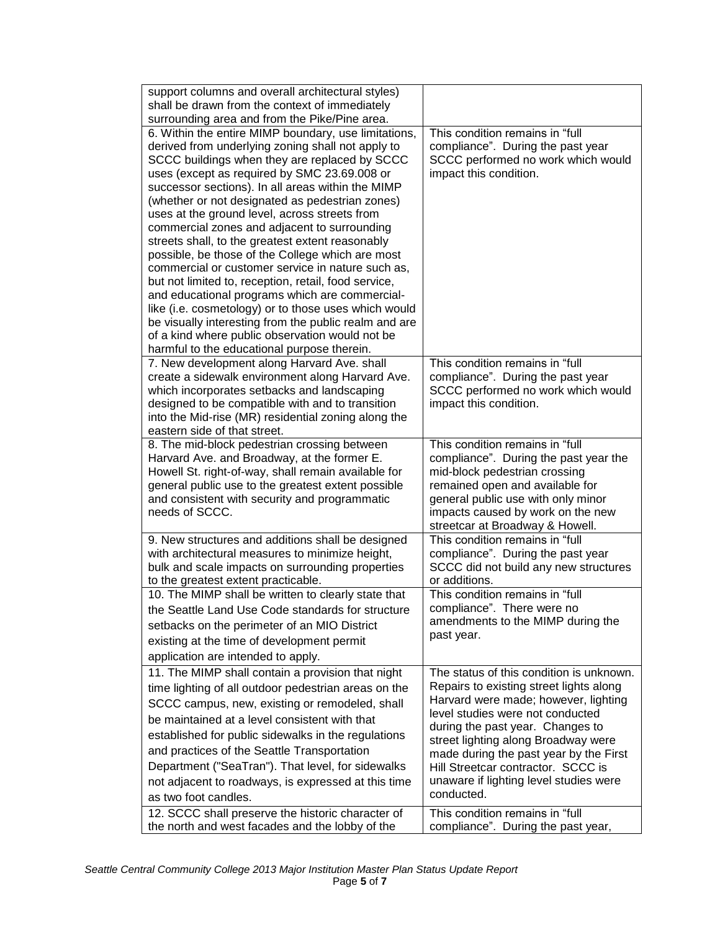| support columns and overall architectural styles)                                                             |                                                                          |
|---------------------------------------------------------------------------------------------------------------|--------------------------------------------------------------------------|
| shall be drawn from the context of immediately<br>surrounding area and from the Pike/Pine area.               |                                                                          |
| 6. Within the entire MIMP boundary, use limitations,                                                          | This condition remains in "full                                          |
| derived from underlying zoning shall not apply to                                                             | compliance". During the past year                                        |
| SCCC buildings when they are replaced by SCCC                                                                 | SCCC performed no work which would                                       |
| uses (except as required by SMC 23.69.008 or                                                                  | impact this condition.                                                   |
| successor sections). In all areas within the MIMP                                                             |                                                                          |
| (whether or not designated as pedestrian zones)                                                               |                                                                          |
| uses at the ground level, across streets from                                                                 |                                                                          |
| commercial zones and adjacent to surrounding                                                                  |                                                                          |
| streets shall, to the greatest extent reasonably                                                              |                                                                          |
| possible, be those of the College which are most                                                              |                                                                          |
| commercial or customer service in nature such as,                                                             |                                                                          |
| but not limited to, reception, retail, food service,                                                          |                                                                          |
| and educational programs which are commercial-                                                                |                                                                          |
| like (i.e. cosmetology) or to those uses which would<br>be visually interesting from the public realm and are |                                                                          |
| of a kind where public observation would not be                                                               |                                                                          |
| harmful to the educational purpose therein.                                                                   |                                                                          |
| 7. New development along Harvard Ave. shall                                                                   | This condition remains in "full                                          |
| create a sidewalk environment along Harvard Ave.                                                              | compliance". During the past year                                        |
| which incorporates setbacks and landscaping                                                                   | SCCC performed no work which would                                       |
| designed to be compatible with and to transition                                                              | impact this condition.                                                   |
| into the Mid-rise (MR) residential zoning along the                                                           |                                                                          |
| eastern side of that street.                                                                                  |                                                                          |
| 8. The mid-block pedestrian crossing between<br>Harvard Ave. and Broadway, at the former E.                   | This condition remains in "full<br>compliance". During the past year the |
| Howell St. right-of-way, shall remain available for                                                           | mid-block pedestrian crossing                                            |
| general public use to the greatest extent possible                                                            | remained open and available for                                          |
| and consistent with security and programmatic                                                                 | general public use with only minor                                       |
| needs of SCCC.                                                                                                | impacts caused by work on the new                                        |
|                                                                                                               | streetcar at Broadway & Howell.                                          |
| 9. New structures and additions shall be designed                                                             | This condition remains in "full                                          |
| with architectural measures to minimize height,                                                               | compliance". During the past year                                        |
| bulk and scale impacts on surrounding properties                                                              | SCCC did not build any new structures<br>or additions.                   |
| to the greatest extent practicable.<br>10. The MIMP shall be written to clearly state that                    | This condition remains in "full                                          |
| the Seattle Land Use Code standards for structure                                                             | compliance". There were no                                               |
|                                                                                                               | amendments to the MIMP during the                                        |
| setbacks on the perimeter of an MIO District<br>existing at the time of development permit                    | past year.                                                               |
|                                                                                                               |                                                                          |
| application are intended to apply.<br>11. The MIMP shall contain a provision that night                       | The status of this condition is unknown.                                 |
|                                                                                                               | Repairs to existing street lights along                                  |
| time lighting of all outdoor pedestrian areas on the                                                          | Harvard were made; however, lighting                                     |
| SCCC campus, new, existing or remodeled, shall                                                                | level studies were not conducted                                         |
| be maintained at a level consistent with that                                                                 | during the past year. Changes to                                         |
| established for public sidewalks in the regulations                                                           | street lighting along Broadway were                                      |
| and practices of the Seattle Transportation                                                                   | made during the past year by the First                                   |
| Department ("SeaTran"). That level, for sidewalks                                                             | Hill Streetcar contractor. SCCC is                                       |
| not adjacent to roadways, is expressed at this time                                                           | unaware if lighting level studies were<br>conducted.                     |
| as two foot candles.                                                                                          |                                                                          |
| 12. SCCC shall preserve the historic character of                                                             | This condition remains in "full                                          |
| the north and west facades and the lobby of the                                                               | compliance". During the past year,                                       |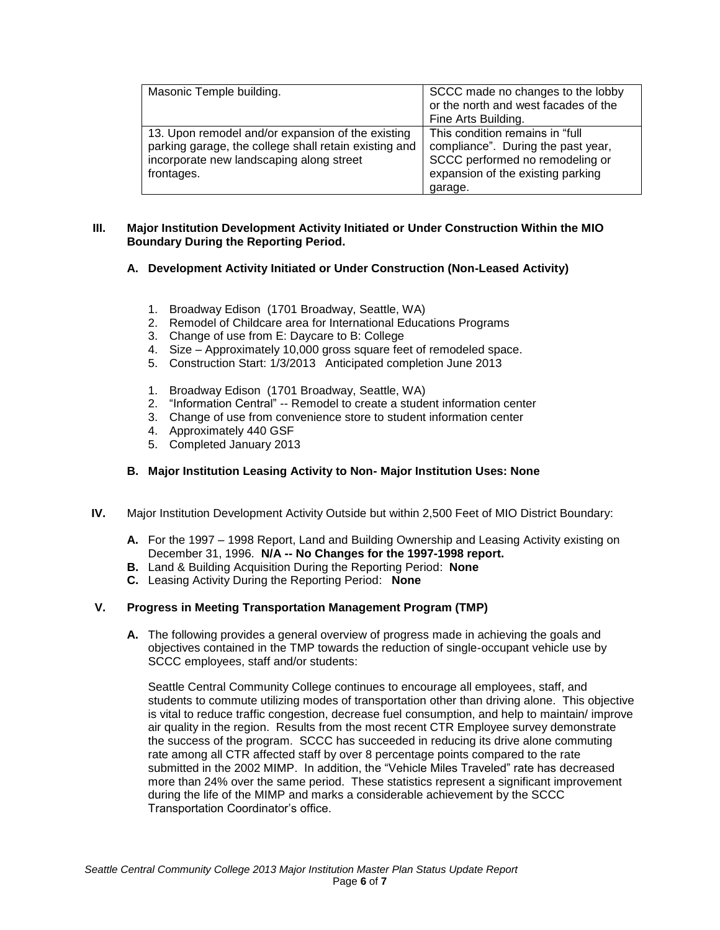| Masonic Temple building.                                                                                                                                             | SCCC made no changes to the lobby<br>or the north and west facades of the<br>Fine Arts Building.                                                         |
|----------------------------------------------------------------------------------------------------------------------------------------------------------------------|----------------------------------------------------------------------------------------------------------------------------------------------------------|
| 13. Upon remodel and/or expansion of the existing<br>parking garage, the college shall retain existing and<br>incorporate new landscaping along street<br>frontages. | This condition remains in "full<br>compliance". During the past year,<br>SCCC performed no remodeling or<br>expansion of the existing parking<br>garage. |

## **III. Major Institution Development Activity Initiated or Under Construction Within the MIO Boundary During the Reporting Period.**

# **A. Development Activity Initiated or Under Construction (Non-Leased Activity)**

- 1. Broadway Edison (1701 Broadway, Seattle, WA)
- 2. Remodel of Childcare area for International Educations Programs
- 3. Change of use from E: Daycare to B: College
- 4. Size Approximately 10,000 gross square feet of remodeled space.
- 5. Construction Start: 1/3/2013 Anticipated completion June 2013
- 1. Broadway Edison (1701 Broadway, Seattle, WA)
- 2. "Information Central" -- Remodel to create a student information center
- 3. Change of use from convenience store to student information center
- 4. Approximately 440 GSF
- 5. Completed January 2013

## **B. Major Institution Leasing Activity to Non- Major Institution Uses: None**

- **IV.** Major Institution Development Activity Outside but within 2,500 Feet of MIO District Boundary:
	- **A.** For the 1997 1998 Report, Land and Building Ownership and Leasing Activity existing on December 31, 1996. **N/A -- No Changes for the 1997-1998 report.**
	- **B.** Land & Building Acquisition During the Reporting Period: **None**
	- **C.** Leasing Activity During the Reporting Period: **None**

# **V. Progress in Meeting Transportation Management Program (TMP)**

**A.** The following provides a general overview of progress made in achieving the goals and objectives contained in the TMP towards the reduction of single-occupant vehicle use by SCCC employees, staff and/or students:

Seattle Central Community College continues to encourage all employees, staff, and students to commute utilizing modes of transportation other than driving alone. This objective is vital to reduce traffic congestion, decrease fuel consumption, and help to maintain/ improve air quality in the region. Results from the most recent CTR Employee survey demonstrate the success of the program. SCCC has succeeded in reducing its drive alone commuting rate among all CTR affected staff by over 8 percentage points compared to the rate submitted in the 2002 MIMP. In addition, the "Vehicle Miles Traveled" rate has decreased more than 24% over the same period. These statistics represent a significant improvement during the life of the MIMP and marks a considerable achievement by the SCCC Transportation Coordinator's office.